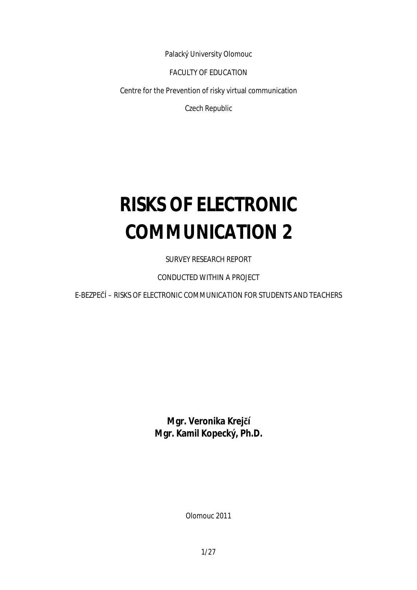Palacký University Olomouc

FACULTY OF EDUCATION

Centre for the Prevention of risky virtual communication

Czech Republic

# **RISKS OF ELECTRONIC COMMUNICATION 2**

SURVEY RESEARCH REPORT

CONDUCTED WITHIN A PROJECT

E-BEZPEČÍ – RISKS OF ELECTRONIC COMMUNICATION FOR STUDENTS AND TEACHERS

**Mgr. Veronika Krejčí Mgr. Kamil Kopecký, Ph.D.** 

Olomouc 2011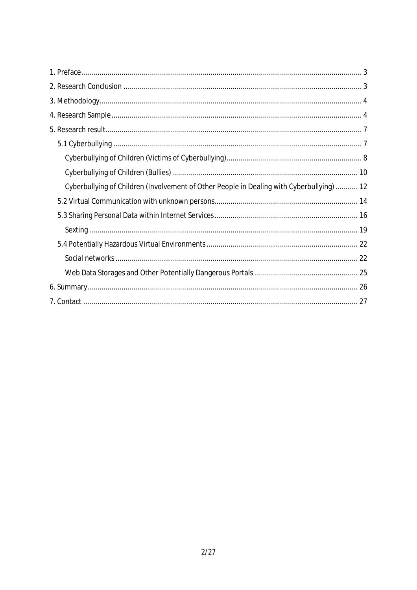| Cyberbullying of Children (Involvement of Other People in Dealing with Cyberbullying)  12 |
|-------------------------------------------------------------------------------------------|
|                                                                                           |
|                                                                                           |
|                                                                                           |
|                                                                                           |
|                                                                                           |
|                                                                                           |
|                                                                                           |
|                                                                                           |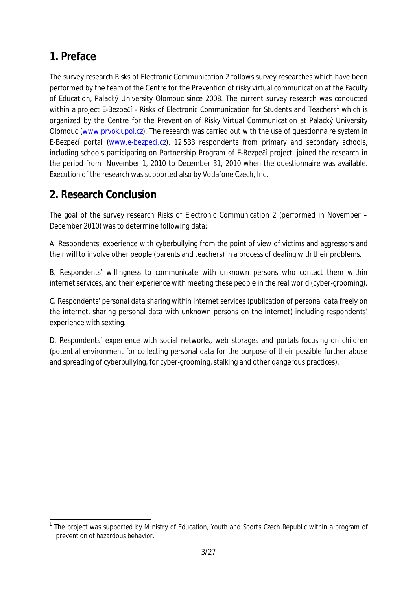## **1. Preface**

The survey research Risks of Electronic Communication 2 follows survey researches which have been performed by the team of the Centre for the Prevention of risky virtual communication at the Faculty of Education, Palacký University Olomouc since 2008. The current survey research was conducted within a project E-Bezpečí - Risks of Electronic Communication for Students and Teachers<sup>1</sup> which is organized by the Centre for the Prevention of Risky Virtual Communication at Palacký University Olomouc ([www.prvok.upol.cz\)](http://www.prvok.upol.cz). The research was carried out with the use of questionnaire system in E-Bezpečí portal ([www.e-bezpeci.cz\)](http://www.e-bezpeci.cz). 12 533 respondents from primary and secondary schools, including schools participating on Partnership Program of E-Bezpečí project, joined the research in the period from November 1, 2010 to December 31, 2010 when the questionnaire was available. Execution of the research was supported also by Vodafone Czech, Inc.

## **2. Research Conclusion**

The goal of the survey research Risks of Electronic Communication 2 (performed in November – December 2010) was to determine following data:

A. Respondents' experience with cyberbullying from the point of view of victims and aggressors and their will to involve other people (parents and teachers) in a process of dealing with their problems.

B. Respondents' willingness to communicate with unknown persons who contact them within internet services, and their experience with meeting these people in the real world (cyber-grooming).

C. Respondents' personal data sharing within internet services (publication of personal data freely on the internet, sharing personal data with unknown persons on the internet) including respondents' experience with sexting.

D. Respondents' experience with social networks, web storages and portals focusing on children (potential environment for collecting personal data for the purpose of their possible further abuse and spreading of cyberbullying, for cyber-grooming, stalking and other dangerous practices).

 $\overline{a}$ <sup>1</sup> The project was supported by Ministry of Education, Youth and Sports Czech Republic within a program of prevention of hazardous behavior.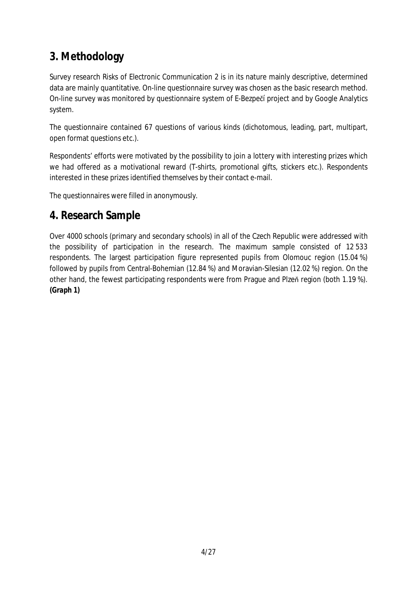## **3. Methodology**

Survey research Risks of Electronic Communication 2 is in its nature mainly descriptive, determined data are mainly quantitative. On-line questionnaire survey was chosen as the basic research method. On-line survey was monitored by questionnaire system of E-Bezpečí project and by Google Analytics system.

The questionnaire contained 67 questions of various kinds (dichotomous, leading, part, multipart, open format questions etc.).

Respondents' efforts were motivated by the possibility to join a lottery with interesting prizes which we had offered as a motivational reward (T-shirts, promotional gifts, stickers etc.). Respondents interested in these prizes identified themselves by their contact e-mail.

The questionnaires were filled in anonymously.

### **4. Research Sample**

Over 4000 schools (primary and secondary schools) in all of the Czech Republic were addressed with the possibility of participation in the research. The maximum sample consisted of 12 533 respondents. The largest participation figure represented pupils from Olomouc region (15.04 %) followed by pupils from Central-Bohemian (12.84 %) and Moravian-Silesian (12.02 %) region. On the other hand, the fewest participating respondents were from Prague and Plzeň region (both 1.19 %). *(Graph 1)*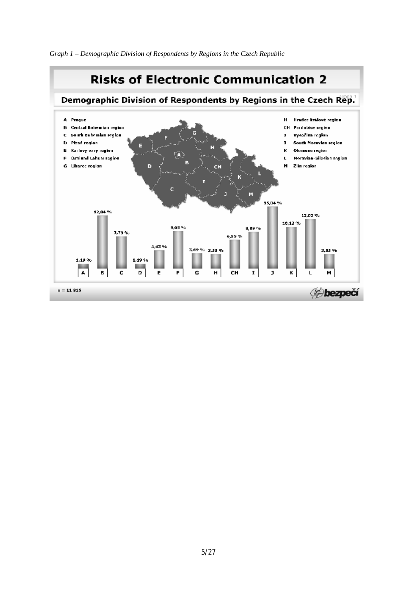*Graph 1 – Demographic Division of Respondents by Regions in the Czech Republic* 

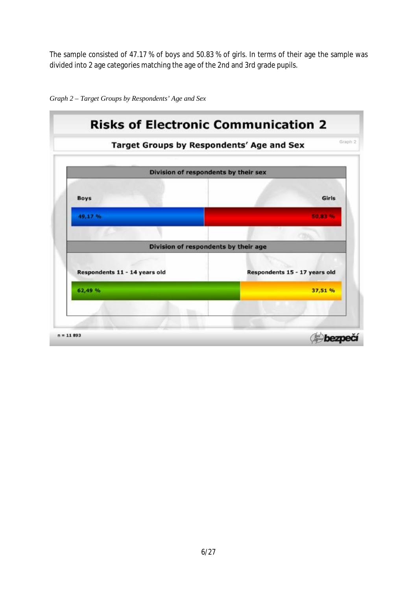The sample consisted of 47.17 % of boys and 50.83 % of girls. In terms of their age the sample was divided into 2 age categories matching the age of the 2nd and 3rd grade pupils.



*Graph 2 – Target Groups by Respondents' Age and Sex*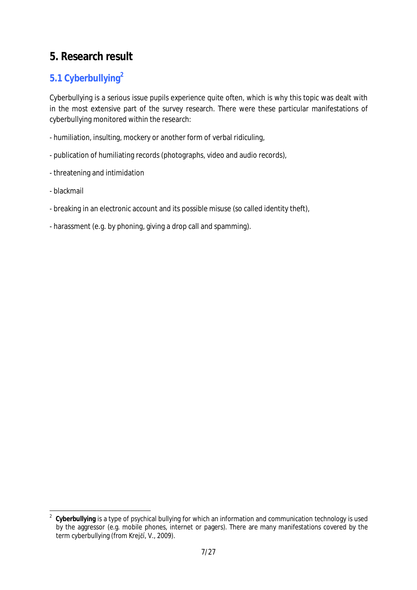## **5. Research result**

## **5.1 Cyberbullying<sup>2</sup>**

Cyberbullying is a serious issue pupils experience quite often, which is why this topic was dealt with in the most extensive part of the survey research. There were these particular manifestations of cyberbullying monitored within the research:

- humiliation, insulting, mockery or another form of verbal ridiculing,
- publication of humiliating records (photographs, video and audio records),
- threatening and intimidation
- blackmail
- breaking in an electronic account and its possible misuse (so called identity theft),
- harassment (e.g. by phoning, giving a drop call and spamming).

 $\frac{1}{2}$  **Cyberbullying** is a type of psychical bullying for which an information and communication technology is used by the aggressor (e.g. mobile phones, internet or pagers). There are many manifestations covered by the term cyberbullying (from Krejčí, V., 2009).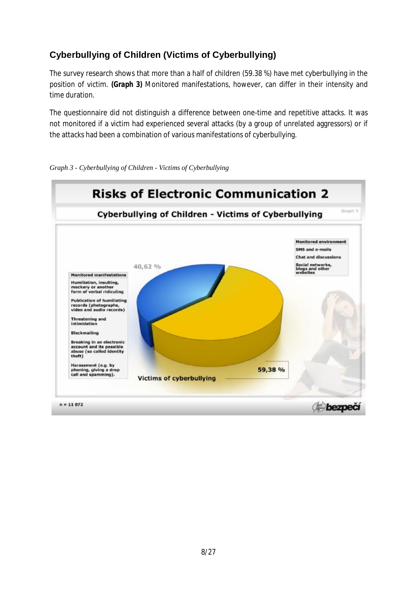#### **Cyberbullying of Children (Victims of Cyberbullying)**

The survey research shows that more than a half of children (59.38 %) have met cyberbullying in the position of victim. *(Graph 3)* Monitored manifestations, however, can differ in their intensity and time duration.

The questionnaire did not distinguish a difference between one-time and repetitive attacks. It was not monitored if a victim had experienced several attacks (by a group of unrelated aggressors) or if the attacks had been a combination of various manifestations of cyberbullying.



*Graph 3 - Cyberbullying of Children - Victims of Cyberbullying*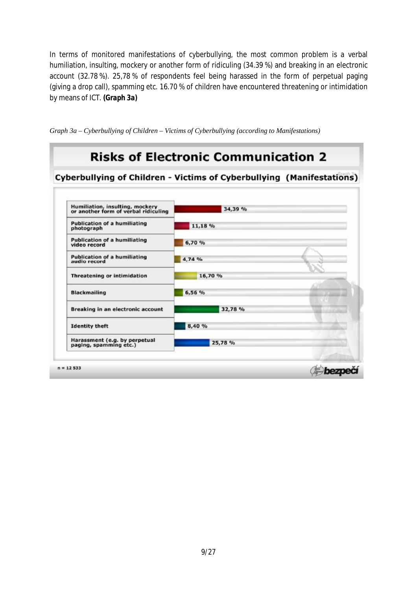In terms of monitored manifestations of cyberbullying, the most common problem is a verbal humiliation, insulting, mockery or another form of ridiculing (34.39 %) and breaking in an electronic account (32.78 %). 25,78 % of respondents feel being harassed in the form of perpetual paging (giving a drop call), spamming etc. 16.70 % of children have encountered threatening or intimidation by means of ICT. *(Graph 3a)*



*Graph 3a – Cyberbullying of Children – Victims of Cyberbullying (according to Manifestations)*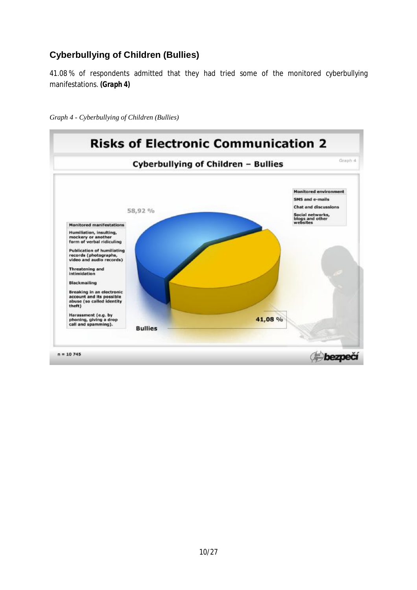#### **Cyberbullying of Children (Bullies)**

41.08 % of respondents admitted that they had tried some of the monitored cyberbullying manifestations. *(Graph 4)*

*Graph 4 - Cyberbullying of Children (Bullies)* 

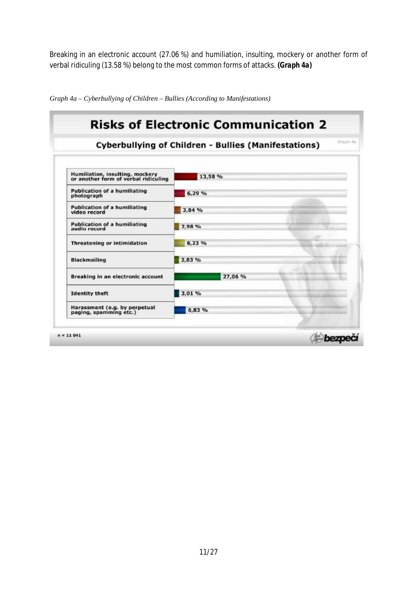Breaking in an electronic account (27.06 %) and humiliation, insulting, mockery or another form of verbal ridiculing (13.58 %) belong to the most common forms of attacks. *(Graph 4a)*



*Graph 4a – Cyberbullying of Children – Bullies (According to Manifestations)*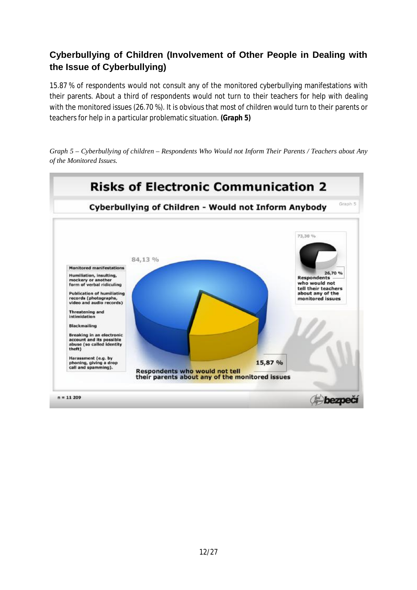#### **Cyberbullying of Children (Involvement of Other People in Dealing with the Issue of Cyberbullying)**

15.87 % of respondents would not consult any of the monitored cyberbullying manifestations with their parents. About a third of respondents would not turn to their teachers for help with dealing with the monitored issues (26.70 %). It is obvious that most of children would turn to their parents or teachers for help in a particular problematic situation. *(Graph 5)*



Graph 5 – Cyberbullying of children – Respondents Who Would not Inform Their Parents / Teachers about Any *of the Monitored Issues.*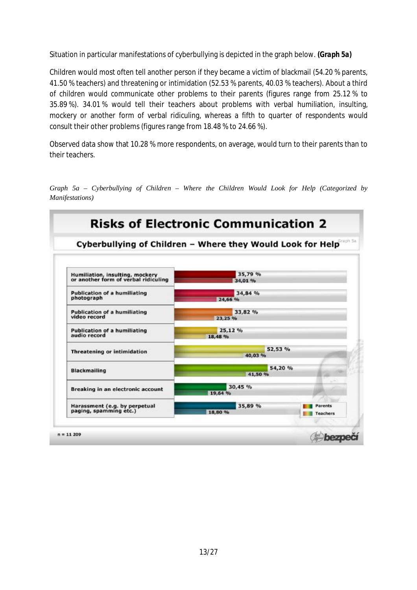Situation in particular manifestations of cyberbullying is depicted in the graph below. *(Graph 5a)*

Children would most often tell another person if they became a victim of blackmail (54.20 % parents, 41.50 % teachers) and threatening or intimidation (52.53 % parents, 40.03 % teachers). About a third of children would communicate other problems to their parents (figures range from 25.12 % to 35.89 %). 34.01 % would tell their teachers about problems with verbal humiliation, insulting, mockery or another form of verbal ridiculing, whereas a fifth to quarter of respondents would consult their other problems (figures range from 18.48 % to 24.66 %).

Observed data show that 10.28 % more respondents, on average, would turn to their parents than to their teachers.

*Graph 5a – Cyberbullying of Children – Where the Children Would Look for Help (Categorized by Manifestations)* 

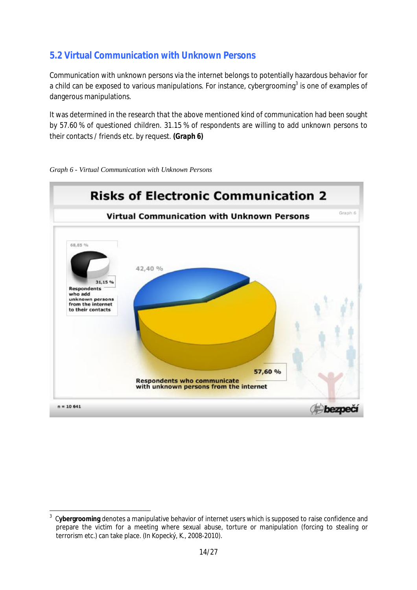#### **5.2 Virtual Communication with Unknown Persons**

Communication with unknown persons via the internet belongs to potentially hazardous behavior for a child can be exposed to various manipulations. For instance, cybergrooming<sup>3</sup> is one of examples of dangerous manipulations.

It was determined in the research that the above mentioned kind of communication had been sought by 57.60 % of questioned children. 31.15 % of respondents are willing to add unknown persons to their contacts / friends etc. by request. *(Graph 6)*



*Graph 6 - Virtual Communication with Unknown Persons* 

 $\overline{a}$ 3 C**ybergrooming** denotes a manipulative behavior of internet users which is supposed to raise confidence and prepare the victim for a meeting where sexual abuse, torture or manipulation (forcing to stealing or terrorism etc.) can take place. (In Kopecký, K., 2008-2010).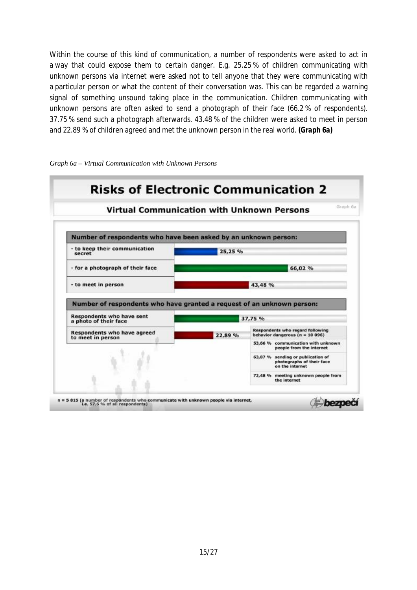Within the course of this kind of communication, a number of respondents were asked to act in a way that could expose them to certain danger. E.g. 25.25 % of children communicating with unknown persons via internet were asked not to tell anyone that they were communicating with a particular person or what the content of their conversation was. This can be regarded a warning signal of something unsound taking place in the communication. Children communicating with unknown persons are often asked to send a photograph of their face (66.2 % of respondents). 37.75 % send such a photograph afterwards. 43.48 % of the children were asked to meet in person and 22.89 % of children agreed and met the unknown person in the real world. *(Graph 6a)* 



*Graph 6a – Virtual Communication with Unknown Persons*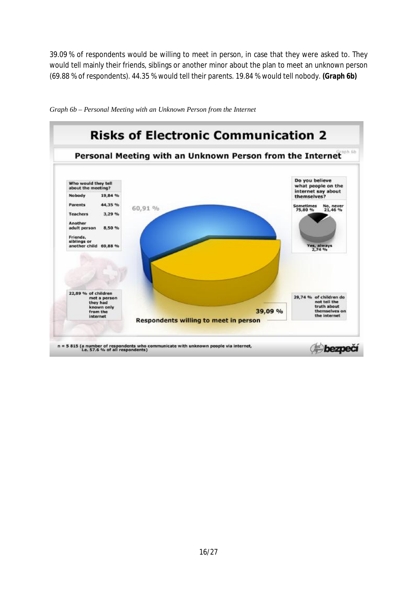39.09 % of respondents would be willing to meet in person, in case that they were asked to. They would tell mainly their friends, siblings or another minor about the plan to meet an unknown person (69.88 % of respondents). 44.35 % would tell their parents. 19.84 % would tell nobody. *(Graph 6b)* 



*Graph 6b – Personal Meeting with an Unknown Person from the Internet*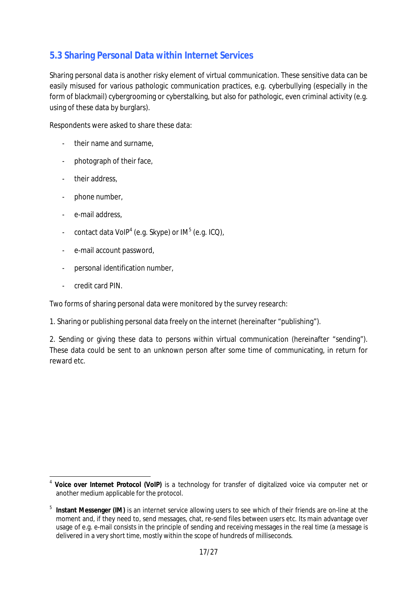#### **5.3 Sharing Personal Data within Internet Services**

Sharing personal data is another risky element of virtual communication. These sensitive data can be easily misused for various pathologic communication practices, e.g. cyberbullying (especially in the form of blackmail) cybergrooming or cyberstalking, but also for pathologic, even criminal activity (e.g. using of these data by burglars).

Respondents were asked to share these data:

- their name and surname,
- photograph of their face,
- their address,
- phone number,
- e-mail address,
- contact data VoIP<sup>4</sup> (e.g. Skype) or IM<sup>5</sup> (e.g. ICQ),
- e-mail account password,
- personal identification number,
- credit card PIN.

Two forms of sharing personal data were monitored by the survey research:

1. Sharing or publishing personal data freely on the internet (hereinafter "publishing").

2. Sending or giving these data to persons within virtual communication (hereinafter "sending"). These data could be sent to an unknown person after some time of communicating, in return for reward etc.

 4 **Voice over Internet Protocol (VoIP)** is a technology for transfer of digitalized voice via computer net or another medium applicable for the protocol.

<sup>5</sup> **Instant Messenger (IM)** is an internet service allowing users to see which of their friends are on-line at the moment and, if they need to, send messages, chat, re-send files between users etc. Its main advantage over usage of e.g. e-mail consists in the principle of sending and receiving messages in the real time (a message is delivered in a very short time, mostly within the scope of hundreds of milliseconds.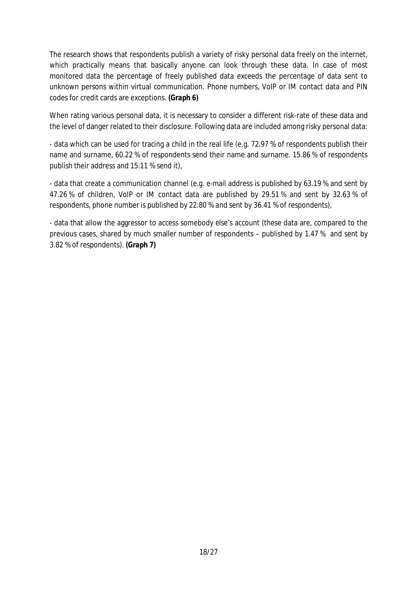The research shows that respondents publish a variety of risky personal data freely on the internet, which practically means that basically anyone can look through these data. In case of most monitored data the percentage of freely published data exceeds the percentage of data sent to unknown persons within virtual communication. Phone numbers, VoIP or IM contact data and PIN codes for credit cards are exceptions. *(Graph 6)* 

When rating various personal data, it is necessary to consider a different risk-rate of these data and the level of danger related to their disclosure. Following data are included among risky personal data:

- data which can be used for tracing a child in the real life (e.g. 72.97 % of respondents publish their name and surname, 60.22 % of respondents send their name and surname. 15.86 % of respondents publish their address and 15.11 % send it),

- data that create a communication channel (e.g. e-mail address is published by 63.19 % and sent by 47.26 % of children, VoIP or IM contact data are published by 29.51 % and sent by 32.63 % of respondents, phone number is published by 22.80 % and sent by 36.41 % of respondents),

- data that allow the aggressor to access somebody else's account (these data are, compared to the previous cases, shared by much smaller number of respondents – published by 1.47 % and sent by 3.82 % of respondents). *(Graph 7)*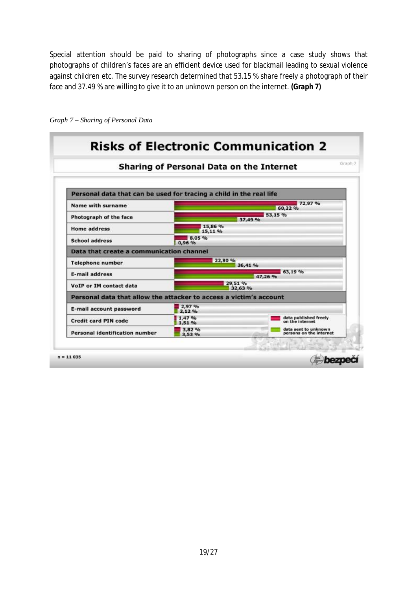Special attention should be paid to sharing of photographs since a case study shows that photographs of children's faces are an efficient device used for blackmail leading to sexual violence against children etc. The survey research determined that 53.15 % share freely a photograph of their face and 37.49 % are willing to give it to an unknown person on the internet. *(Graph 7)* 

|                                                                     | Sharing of Personal Data on the Internet |                                                 |  |
|---------------------------------------------------------------------|------------------------------------------|-------------------------------------------------|--|
| Personal data that can be used for tracing a child in the real life |                                          |                                                 |  |
| Name with surname                                                   | 72,97 %<br>60,22 %                       |                                                 |  |
| Photograph of the face                                              | 53,15 %<br>37,49 %                       |                                                 |  |
| <b>Home address</b>                                                 | 15,86 %<br>15,11 %                       |                                                 |  |
| <b>School address</b>                                               | 8.05 %<br>0,96 %                         |                                                 |  |
| Data that create a communication channel                            |                                          |                                                 |  |
| <b>Telephone number</b>                                             | 22,80 %<br>36.41 %                       |                                                 |  |
| <b>E-mail address</b>                                               | 63,19%<br>47,26 %                        |                                                 |  |
| VoIP or IM contact data                                             | 29.51 %<br>32.63 %                       |                                                 |  |
| Personal data that allow the attacker to access a victim's account  |                                          |                                                 |  |
| E-mail account password                                             | 2,97 %<br>2.12%                          |                                                 |  |
| <b>Credit card PIN code</b>                                         | 1,47%<br>1,51 %                          | data published freely<br>on the internet        |  |
| Personal identification number                                      | 3,82 %<br>3.53 %                         | data sent to unknown<br>persons on the internet |  |

*Graph 7 – Sharing of Personal Data*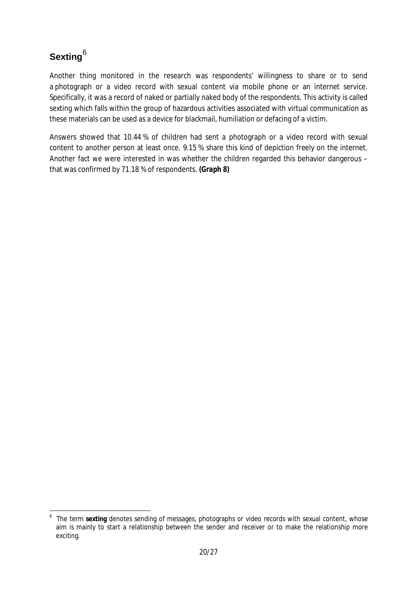## **Sexting**<sup>6</sup>

Another thing monitored in the research was respondents' willingness to share or to send a photograph or a video record with sexual content via mobile phone or an internet service. Specifically, it was a record of naked or partially naked body of the respondents. This activity is called sexting which falls within the group of hazardous activities associated with virtual communication as these materials can be used as a device for blackmail, humiliation or defacing of a victim.

Answers showed that 10.44 % of children had sent a photograph or a video record with sexual content to another person at least once. 9.15 % share this kind of depiction freely on the internet. Another fact we were interested in was whether the children regarded this behavior dangerous – that was confirmed by 71.18 % of respondents. *(Graph 8)*

 $\overline{a}$ 6 The term **sexting** denotes sending of messages, photographs or video records with sexual content, whose aim is mainly to start a relationship between the sender and receiver or to make the relationship more exciting.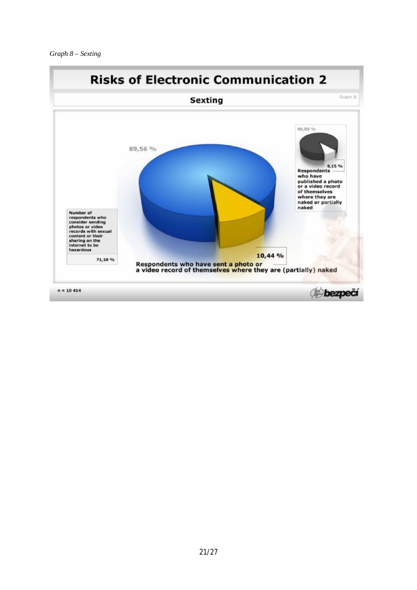

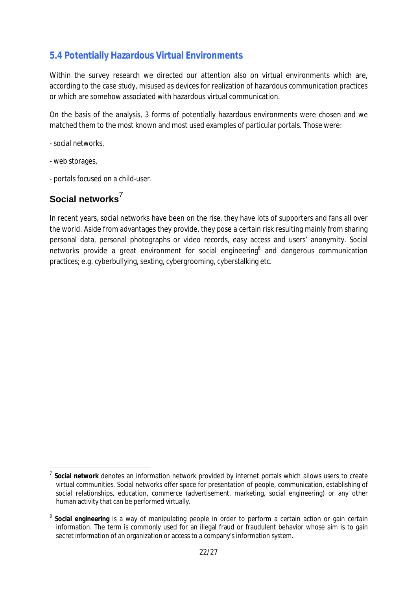#### **5.4 Potentially Hazardous Virtual Environments**

Within the survey research we directed our attention also on virtual environments which are, according to the case study, misused as devices for realization of hazardous communication practices or which are somehow associated with hazardous virtual communication.

On the basis of the analysis, 3 forms of potentially hazardous environments were chosen and we matched them to the most known and most used examples of particular portals. Those were:

- social networks,

- web storages,

l

- portals focused on a child-user.

#### **Social networks**<sup>7</sup>

In recent years, social networks have been on the rise, they have lots of supporters and fans all over the world. Aside from advantages they provide, they pose a certain risk resulting mainly from sharing personal data, personal photographs or video records, easy access and users' anonymity. Social networks provide a great environment for social engineering<sup>8</sup> and dangerous communication practices; e.g. cyberbullying, sexting, cybergrooming, cyberstalking etc.

<sup>7</sup> **Social network** denotes an information network provided by internet portals which allows users to create virtual communities. Social networks offer space for presentation of people, communication, establishing of social relationships, education, commerce (advertisement, marketing, social engineering) or any other human activity that can be performed virtually.

<sup>8</sup> **Social engineering** is a way of manipulating people in order to perform a certain action or gain certain information. The term is commonly used for an illegal fraud or fraudulent behavior whose aim is to gain secret information of an organization or access to a company's information system.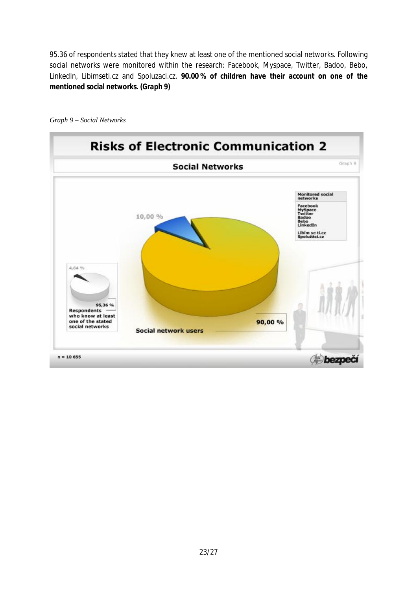95.36 of respondents stated that they knew at least one of the mentioned social networks. Following social networks were monitored within the research: Facebook, Myspace, Twitter, Badoo, Bebo, Linkedln, Libimseti.cz and Spoluzaci.cz. **90.00 % of children have their account on one of the mentioned social networks.** *(Graph 9)* 



*Graph 9 – Social Networks*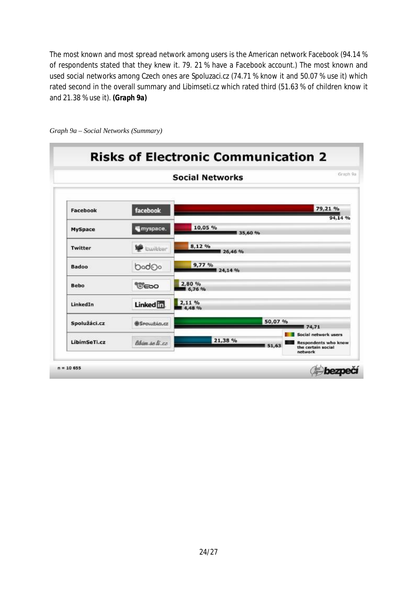The most known and most spread network among users is the American network Facebook (94.14 % of respondents stated that they knew it. 79. 21 % have a Facebook account.) The most known and used social networks among Czech ones are Spoluzaci.cz (74.71 % know it and 50.07 % use it) which rated second in the overall summary and Libimseti.cz which rated third (51.63 % of children know it and 21.38 % use it). *(Graph 9a)* 

| <b>Social Networks</b> |                   |                    |                                                                                      |  |
|------------------------|-------------------|--------------------|--------------------------------------------------------------------------------------|--|
| Facebook               | facebook          |                    | 79,21 %<br>94,14 %                                                                   |  |
| <b>MySpace</b>         | ₩ myspace.        | 10,05 %<br>35,60 % |                                                                                      |  |
| <b>Twitter</b>         | <b>cwilder</b>    | 8,12 %<br>26,46 %  |                                                                                      |  |
| <b>Badoo</b>           | bod <sub>Oo</sub> | 9,77%<br>24,14 %   |                                                                                      |  |
| <b>Bebo</b>            | <b>UEDO</b>       | 2,80%<br>6,76 %    |                                                                                      |  |
| LinkedIn               | Linked in         | 2.11%<br>4,48 %    |                                                                                      |  |
| Spolužáci.cz           | Spouzici.cz       | 50,07 %<br>74,71   |                                                                                      |  |
| LibimSeTi.cz           | libim se li cz    | 21,38 %<br>51,63   | Social network users<br><b>Respondents who know</b><br>the certain social<br>network |  |

*Graph 9a – Social Networks (Summary)*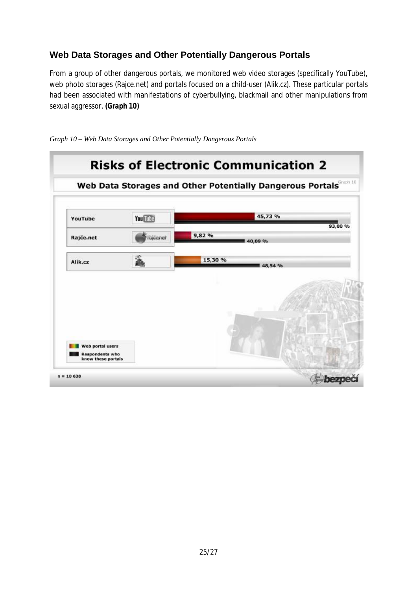#### **Web Data Storages and Other Potentially Dangerous Portals**

From a group of other dangerous portals, we monitored web video storages (specifically YouTube), web photo storages (Rajce.net) and portals focused on a child-user (Alik.cz). These particular portals had been associated with manifestations of cyberbullying, blackmail and other manipulations from sexual aggressor. *(Graph 10)* 



*Graph 10 – Web Data Storages and Other Potentially Dangerous Portals*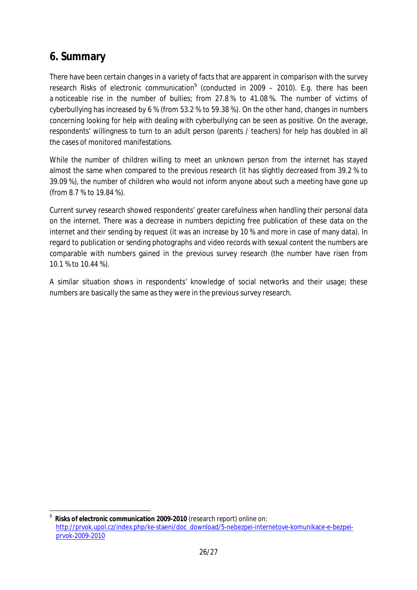## **6. Summary**

 $\overline{a}$ 

There have been certain changes in a variety of facts that are apparent in comparison with the survey research Risks of electronic communication<sup>9</sup> (conducted in 2009 – 2010). E.g. there has been a noticeable rise in the number of bullies; from 27.8 % to 41.08 %. The number of victims of cyberbullying has increased by 6 % (from 53.2 % to 59.38 %). On the other hand, changes in numbers concerning looking for help with dealing with cyberbullying can be seen as positive. On the average, respondents' willingness to turn to an adult person (parents / teachers) for help has doubled in all the cases of monitored manifestations.

While the number of children willing to meet an unknown person from the internet has stayed almost the same when compared to the previous research (it has slightly decreased from 39.2 % to 39.09 %), the number of children who would not inform anyone about such a meeting have gone up (from 8.7 % to 19.84 %).

Current survey research showed respondents' greater carefulness when handling their personal data on the internet. There was a decrease in numbers depicting free publication of these data on the internet and their sending by request (it was an increase by 10 % and more in case of many data). In regard to publication or sending photographs and video records with sexual content the numbers are comparable with numbers gained in the previous survey research (the number have risen from 10.1 % to 10.44 %).

A similar situation shows in respondents' knowledge of social networks and their usage; these numbers are basically the same as they were in the previous survey research.

<sup>9</sup> **Risks of electronic communication 2009-2010** (research report) online on: [http://prvok.upol.cz/index.php/ke-staeni/doc\\_download/5-nebezpei-internetove-komunikace-e-bezpei](http://prvok.upol.cz/index.php/ke-staeni/doc_download/5-nebezpei-internetove-komunikace-e-bezpei)prvok-2009-2010